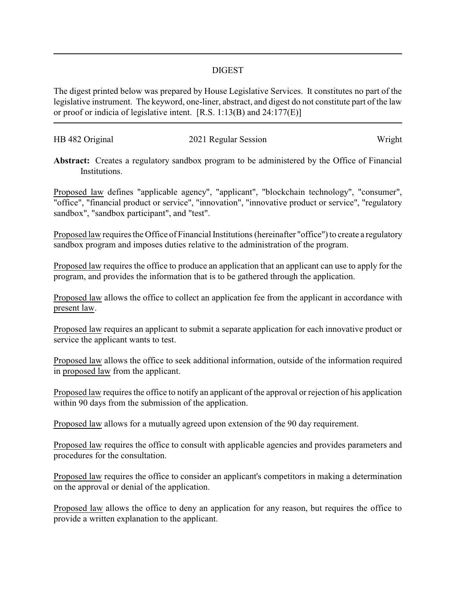## DIGEST

The digest printed below was prepared by House Legislative Services. It constitutes no part of the legislative instrument. The keyword, one-liner, abstract, and digest do not constitute part of the law or proof or indicia of legislative intent. [R.S. 1:13(B) and 24:177(E)]

| HB 482 Original | 2021 Regular Session | Wright |
|-----------------|----------------------|--------|
|                 |                      |        |

Abstract: Creates a regulatory sandbox program to be administered by the Office of Financial Institutions.

Proposed law defines "applicable agency", "applicant", "blockchain technology", "consumer", "office", "financial product or service", "innovation", "innovative product or service", "regulatory sandbox", "sandbox participant", and "test".

Proposed law requires the Office of Financial Institutions (hereinafter "office") to create a regulatory sandbox program and imposes duties relative to the administration of the program.

Proposed law requires the office to produce an application that an applicant can use to apply for the program, and provides the information that is to be gathered through the application.

Proposed law allows the office to collect an application fee from the applicant in accordance with present law.

Proposed law requires an applicant to submit a separate application for each innovative product or service the applicant wants to test.

Proposed law allows the office to seek additional information, outside of the information required in proposed law from the applicant.

Proposed law requires the office to notify an applicant of the approval or rejection of his application within 90 days from the submission of the application.

Proposed law allows for a mutually agreed upon extension of the 90 day requirement.

Proposed law requires the office to consult with applicable agencies and provides parameters and procedures for the consultation.

Proposed law requires the office to consider an applicant's competitors in making a determination on the approval or denial of the application.

Proposed law allows the office to deny an application for any reason, but requires the office to provide a written explanation to the applicant.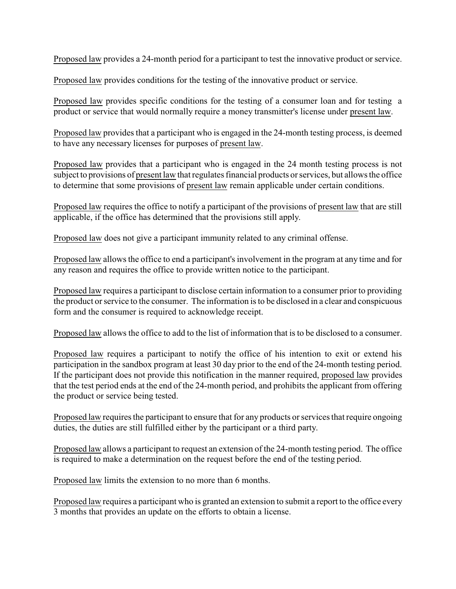Proposed law provides a 24-month period for a participant to test the innovative product or service.

Proposed law provides conditions for the testing of the innovative product or service.

Proposed law provides specific conditions for the testing of a consumer loan and for testing a product or service that would normally require a money transmitter's license under present law.

Proposed law provides that a participant who is engaged in the 24-month testing process, is deemed to have any necessary licenses for purposes of present law.

Proposed law provides that a participant who is engaged in the 24 month testing process is not subject to provisions of present law that regulates financial products or services, but allows the office to determine that some provisions of present law remain applicable under certain conditions.

Proposed law requires the office to notify a participant of the provisions of present law that are still applicable, if the office has determined that the provisions still apply.

Proposed law does not give a participant immunity related to any criminal offense.

Proposed law allows the office to end a participant's involvement in the program at any time and for any reason and requires the office to provide written notice to the participant.

Proposed law requires a participant to disclose certain information to a consumer prior to providing the product or service to the consumer. The information is to be disclosed in a clear and conspicuous form and the consumer is required to acknowledge receipt.

Proposed law allows the office to add to the list of information that is to be disclosed to a consumer.

Proposed law requires a participant to notify the office of his intention to exit or extend his participation in the sandbox program at least 30 day prior to the end of the 24-month testing period. If the participant does not provide this notification in the manner required, proposed law provides that the test period ends at the end of the 24-month period, and prohibits the applicant from offering the product or service being tested.

Proposed law requires the participant to ensure that for any products or services that require ongoing duties, the duties are still fulfilled either by the participant or a third party.

Proposed law allows a participant to request an extension of the 24-month testing period. The office is required to make a determination on the request before the end of the testing period.

Proposed law limits the extension to no more than 6 months.

Proposed law requires a participant who is granted an extension to submit a report to the office every 3 months that provides an update on the efforts to obtain a license.